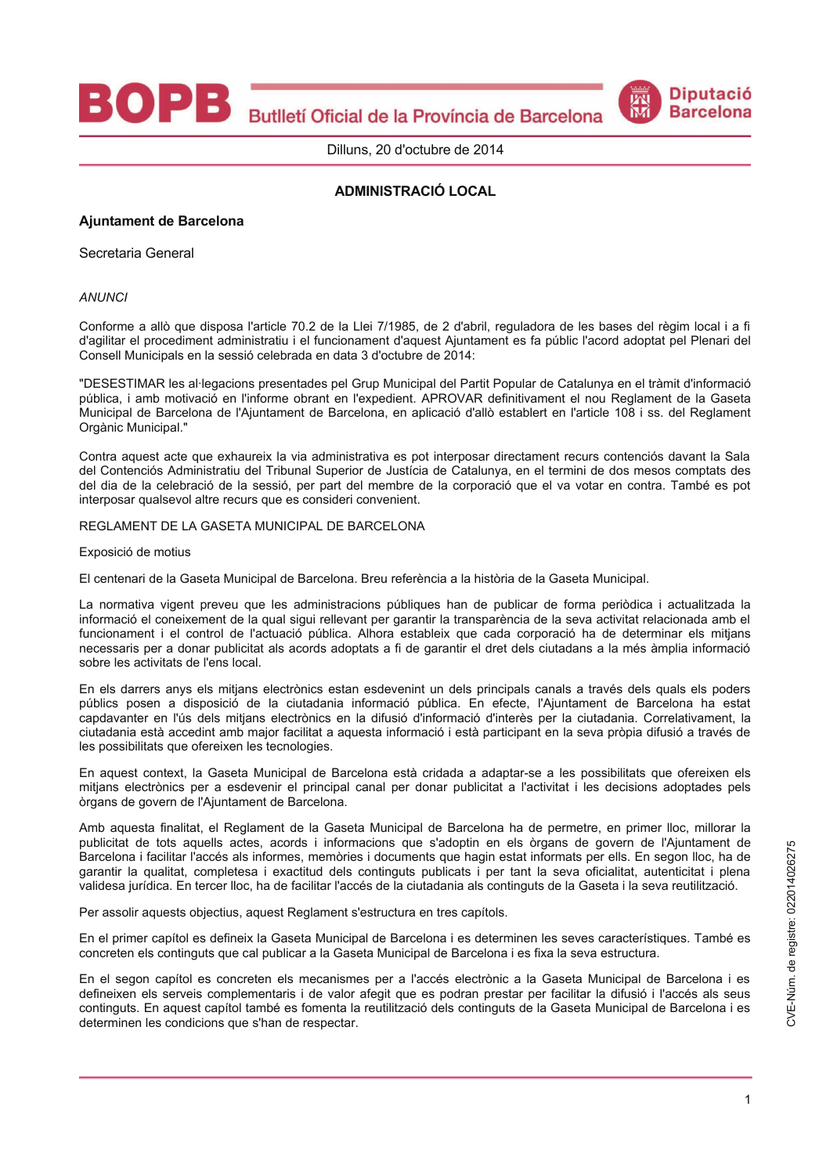Butlletí Oficial de la Província de Barcelona

**Diputació Barcelona** 

Dilluns, 20 d'octubre de 2014

## **ADMINISTRACIÓ LOCAL**

## Ajuntament de Barcelona

Secretaria General

**ANUNCI** 

Conforme a allò que disposa l'article 70.2 de la Llei 7/1985, de 2 d'abril, reguladora de les bases del règim local i a fi d'agilitar el procediment administratiu i el funcionament d'aguest Ajuntament es fa públic l'acord adoptat pel Plenari del Consell Municipals en la sessió celebrada en data 3 d'octubre de 2014:

"DESESTIMAR les al·legacions presentades pel Grup Municipal del Partit Popular de Catalunya en el tràmit d'informació pública, i amb motivació en l'informe obrant en l'expedient. APROVAR definitivament el nou Reglament de la Gaseta Municipal de Barcelona de l'Ajuntament de Barcelona, en aplicació d'allò establert en l'article 108 i ss. del Reglament Orgànic Municipal."

Contra aquest acte que exhaureix la via administrativa es pot interposar directament recurs contenciós davant la Sala del Contenciós Administratiu del Tribunal Superior de Justícia de Catalunya, en el termini de dos mesos comptats des del dia de la celebració de la sessió, per part del membre de la corporació que el va votar en contra. També es pot interposar qualsevol altre recurs que es consideri convenient.

REGLAMENT DE LA GASETA MUNICIPAL DE BARCELONA

Exposició de motius

El centenari de la Gaseta Municipal de Barcelona. Breu referència a la història de la Gaseta Municipal.

La normativa vigent preveu que les administracions públiques han de publicar de forma periòdica i actualitzada la informació el coneixement de la qual sigui rellevant per garantir la transparència de la seva activitat relacionada amb el funcionament i el control de l'actuació pública. Alhora estableix que cada corporació ha de determinar els mitjans necessaris per a donar publicitat als acords adoptats a fi de garantir el dret dels ciutadans a la més àmplia informació sobre les activitats de l'ens local.

En els darrers anys els mitjans electrònics estan esdevenint un dels principals canals a través dels quals els poders públics posen a disposició de la ciutadania informació pública. En efecte, l'Ajuntament de Barcelona ha estat capdavanter en l'ús dels mitjans electrònics en la difusió d'informació d'interès per la ciutadania. Correlativament. la ciutadania està accedint amb major facilitat a aquesta informació i està participant en la seva pròpia difusió a través de les possibilitats que ofereixen les tecnologies.

En aquest context, la Gaseta Municipal de Barcelona està cridada a adaptar-se a les possibilitats que ofereixen els mitians electrònics per a esdevenir el principal canal per donar publicitat a l'activitat i les decisions adoptades pels òrgans de govern de l'Ajuntament de Barcelona.

Amb aquesta finalitat, el Reglament de la Gaseta Municipal de Barcelona ha de permetre, en primer lloc, millorar la publicitat de tots aquells actes, acords i informacions que s'adoptin en els òrgans de govern de l'Aiuntament de Barcelona i facilitar l'accés als informes, memòries i documents que hagin estat informats per ells. En segon lloc, ha de garantir la qualitat, completesa i exactitud dels continguts publicats i per tant la seva oficialitat, autenticitat i plena validesa jurídica. En tercer lloc, ha de facilitar l'accés de la ciutadania als continguts de la Gaseta i la seva reutilització.

Per assolir aquests objectius, aquest Reglament s'estructura en tres capítols.

En el primer capítol es defineix la Gaseta Municipal de Barcelona i es determinen les seves característiques. També es concreten els continguts que cal publicar a la Gaseta Municipal de Barcelona i es fixa la seva estructura.

En el segon capítol es concreten els mecanismes per a l'accés electrònic a la Gaseta Municipal de Barcelona i es defineixen els serveis complementaris i de valor afegit que es podran prestar per facilitar la difusió i l'accés als seus continguts. En aquest capítol també es fomenta la reutilització dels continguts de la Gaseta Municipal de Barcelona i es determinen les condicions que s'han de respectar.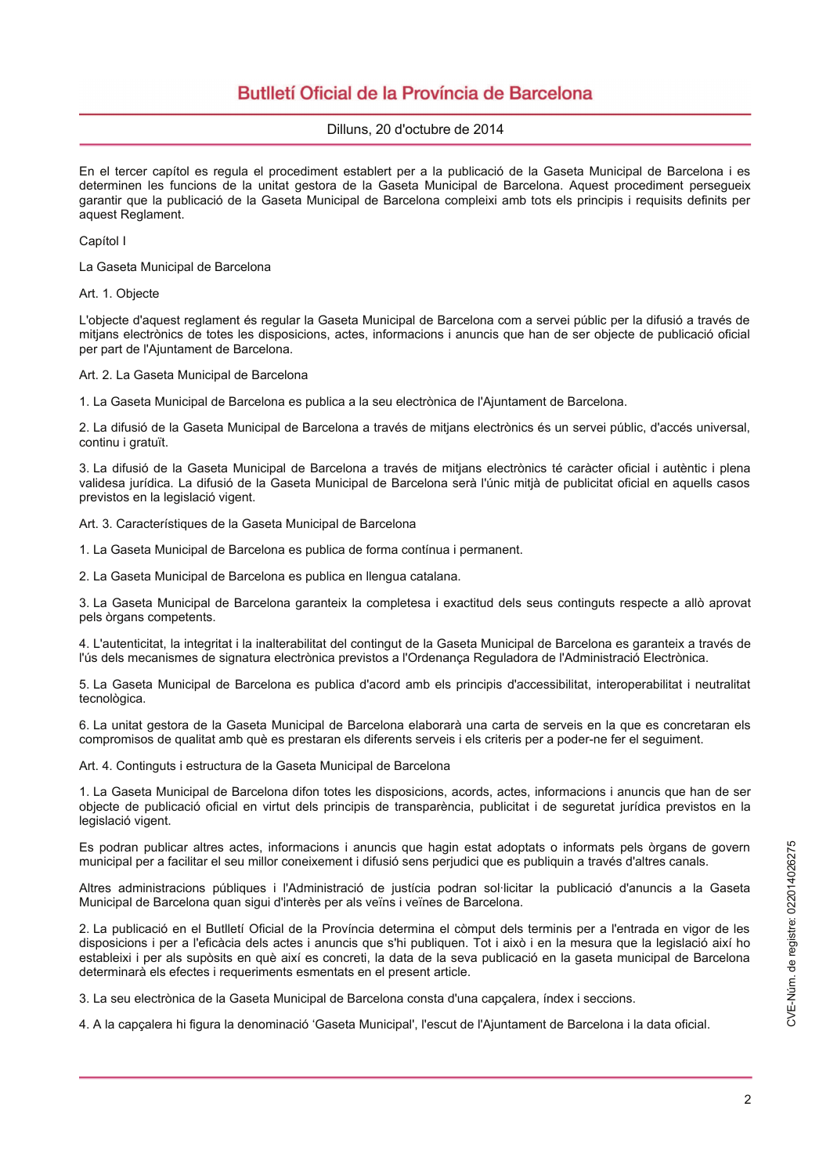Dilluns, 20 d'octubre de 2014

En el tercer capítol es regula el procediment establert per a la publicació de la Gaseta Municipal de Barcelona i es determinen les funcions de la unitat gestora de la Gaseta Municipal de Barcelona. Aquest procediment persegueix garantir que la publicació de la Gaseta Municipal de Barcelona compleixi amb tots els principis i requisits definits per aquest Reglament.

Capítol I

La Gaseta Municipal de Barcelona

Art. 1. Objecte

L'objecte d'aquest reglament és regular la Gaseta Municipal de Barcelona com a servei públic per la difusió a través de mitians electrònics de totes les disposicions, actes, informacions i anuncis que han de ser objecte de publicació oficial per part de l'Ajuntament de Barcelona.

Art. 2. La Gaseta Municipal de Barcelona

1. La Gaseta Municipal de Barcelona es publica a la seu electrònica de l'Ajuntament de Barcelona.

2. La difusió de la Gaseta Municipal de Barcelona a través de mitjans electrònics és un servei públic, d'accés universal, continu i gratuït.

3. La difusió de la Gaseta Municipal de Barcelona a través de mitians electrònics té caràcter oficial i autèntic i plena validesa jurídica. La difusió de la Gaseta Municipal de Barcelona serà l'únic mitjà de publicitat oficial en aquells casos previstos en la legislació vigent.

Art. 3. Característiques de la Gaseta Municipal de Barcelona

1. La Gaseta Municipal de Barcelona es publica de forma contínua i permanent.

2. La Gaseta Municipal de Barcelona es publica en llengua catalana.

3. La Gaseta Municipal de Barcelona garanteix la completesa i exactitud dels seus continguts respecte a allò aprovat pels òrgans competents.

4. L'autenticitat, la integritat i la inalterabilitat del contingut de la Gaseta Municipal de Barcelona es garanteix a través de l'ús dels mecanismes de signatura electrònica previstos a l'Ordenanca Reguladora de l'Administració Electrònica.

5. La Gaseta Municipal de Barcelona es publica d'acord amb els principis d'accessibilitat, interoperabilitat i neutralitat tecnològica.

6. La unitat gestora de la Gaseta Municipal de Barcelona elaborarà una carta de serveis en la que es concretaran els compromisos de qualitat amb què es prestaran els diferents serveis i els criteris per a poder-ne fer el seguiment.

Art. 4. Continguts i estructura de la Gaseta Municipal de Barcelona

1. La Gaseta Municipal de Barcelona difon totes les disposicions, acords, actes, informacions i anuncis que han de ser objecte de publicació oficial en virtut dels principis de transparència, publicitat i de seguretat jurídica previstos en la legislació vigent.

Es podran publicar altres actes, informacions i anuncis que hagin estat adoptats o informats pels òrgans de govern municipal per a facilitar el seu millor coneixement i difusió sens perjudici que es publiquin a través d'altres canals.

Altres administracions públiques i l'Administració de justícia podran sol·licitar la publicació d'anuncis a la Gaseta Municipal de Barcelona quan sigui d'interès per als veïns i veïnes de Barcelona.

2. La publicació en el Butlletí Oficial de la Província determina el còmput dels terminis per a l'entrada en vigor de les disposicions i per a l'eficàcia dels actes i anuncis que s'hi publiquen. Tot i això i en la mesura que la legislació així ho estableixi i per als supòsits en què així es concreti, la data de la seva publicació en la gaseta municipal de Barcelona determinarà els efectes i requeriments esmentats en el present article.

3. La seu electrònica de la Gaseta Municipal de Barcelona consta d'una capçalera, índex i seccions.

4. A la capçalera hi figura la denominació 'Gaseta Municipal', l'escut de l'Ajuntament de Barcelona i la data oficial.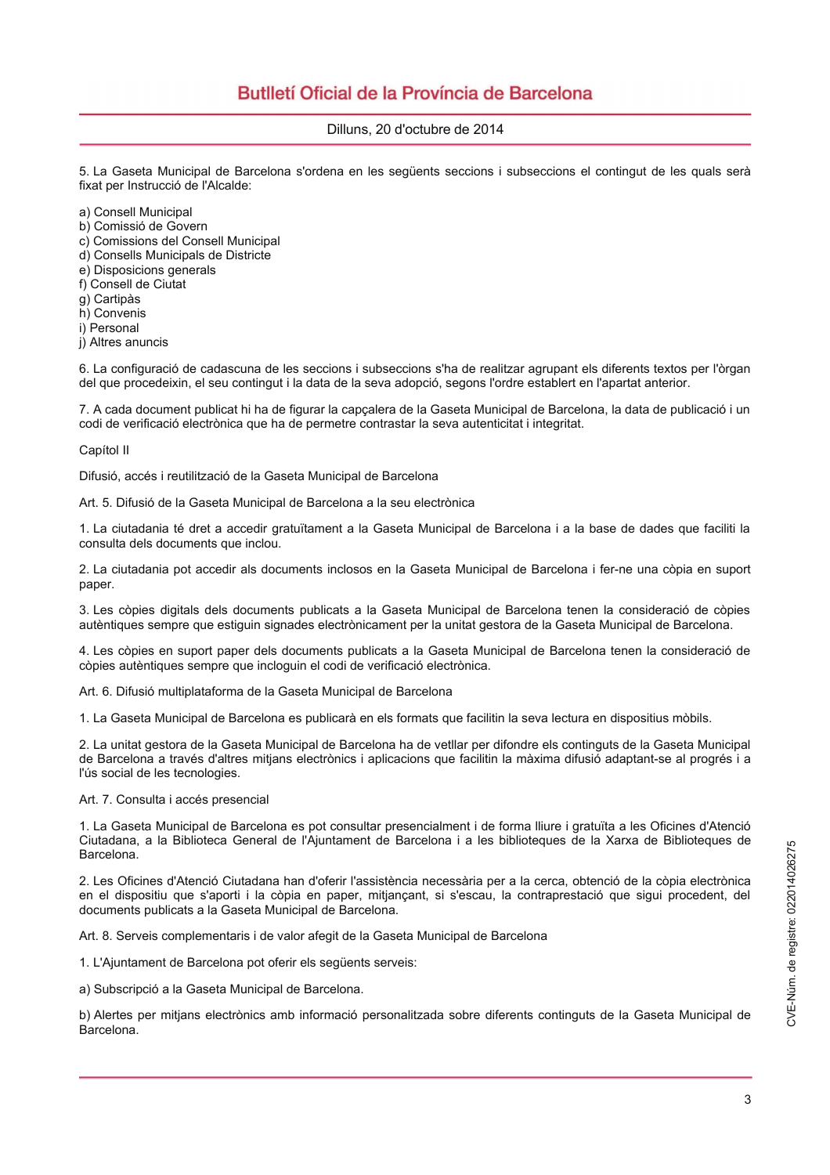## Dilluns, 20 d'octubre de 2014

5. La Gaseta Municipal de Barcelona s'ordena en les següents seccions i subseccions el contingut de les quals serà fixat per Instrucció de l'Alcalde:

- a) Consell Municipal
- b) Comissió de Govern
- c) Comissions del Consell Municipal
- d) Consells Municipals de Districte
- e) Disposicions generals
- f) Consell de Ciutat
- g) Cartipàs
- h) Convenis
- i) Personal
- i) Altres anuncis

6. La configuració de cadascuna de les seccions i subseccions s'ha de realitzar agrupant els diferents textos per l'òrgan del que procedeixin, el seu contingut i la data de la seva adopció, segons l'ordre establert en l'apartat anterior.

7. A cada document publicat hi ha de figurar la capcalera de la Gaseta Municipal de Barcelona, la data de publicació i un codi de verificació electrònica que ha de permetre contrastar la seva autenticitat i integritat.

#### Capítol II

Difusió, accés i reutilització de la Gaseta Municipal de Barcelona

Art. 5. Difusió de la Gaseta Municipal de Barcelona a la seu electrònica

1. La ciutadania té dret a accedir gratuïtament a la Gaseta Municipal de Barcelona i a la base de dades que faciliti la consulta dels documents que inclou.

2. La ciutadania pot accedir als documents inclosos en la Gaseta Municipal de Barcelona i fer-ne una còpia en suport paper.

3. Les còpies digitals dels documents publicats a la Gaseta Municipal de Barcelona tenen la consideració de còpies autèntiques sempre que estiguin signades electrònicament per la unitat gestora de la Gaseta Municipal de Barcelona.

4. Les còpies en suport paper dels documents publicats a la Gaseta Municipal de Barcelona tenen la consideració de còpies autèntiques sempre que incloquin el codi de verificació electrònica.

Art. 6. Difusió multiplataforma de la Gaseta Municipal de Barcelona

1. La Gaseta Municipal de Barcelona es publicarà en els formats que facilitin la seva lectura en dispositius mòbils.

2. La unitat gestora de la Gaseta Municipal de Barcelona ha de vetllar per difondre els continguts de la Gaseta Municipal de Barcelona a través d'altres mitjans electrònics i aplicacions que facilitin la màxima difusió adaptant-se al progrés i a l'ús social de les tecnologies.

Art. 7. Consulta i accés presencial

1. La Gaseta Municipal de Barcelona es pot consultar presencialment i de forma lliure i gratuïta a les Oficines d'Atenció Ciutadana, a la Biblioteca General de l'Ajuntament de Barcelona i a les biblioteques de la Xarxa de Biblioteques de Barcelona.

2. Les Oficines d'Atenció Ciutadana han d'oferir l'assistència necessària per a la cerca, obtenció de la còpia electrònica en el dispositiu que s'aporti i la còpia en paper, mitiancant, si s'escau, la contraprestació que sigui procedent, del documents publicats a la Gaseta Municipal de Barcelona.

Art. 8. Serveis complementaris i de valor afegit de la Gaseta Municipal de Barcelona

1. L'Ajuntament de Barcelona pot oferir els següents serveis:

a) Subscripció a la Gaseta Municipal de Barcelona.

b) Alertes per mitjans electrònics amb informació personalitzada sobre diferents continguts de la Gaseta Municipal de Barcelona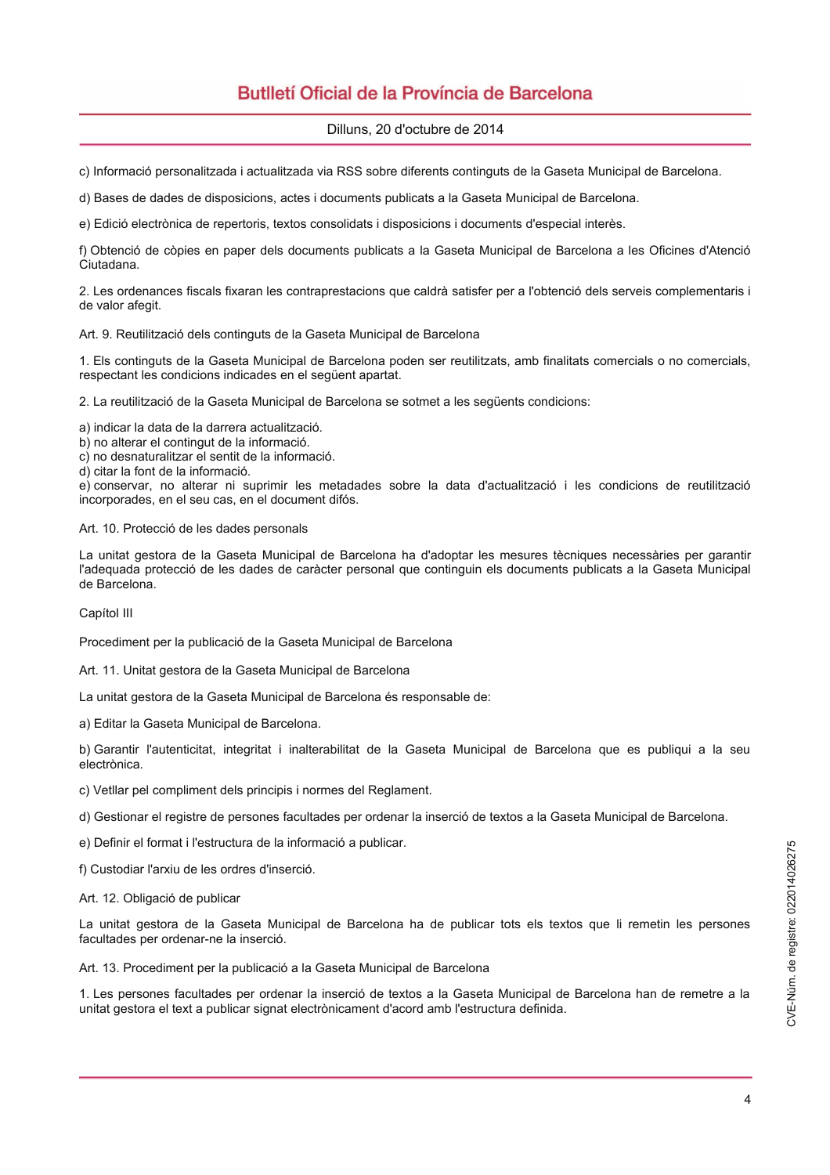# Butlletí Oficial de la Província de Barcelona

## Dilluns, 20 d'octubre de 2014

c) Informació personalitzada i actualitzada via RSS sobre diferents continguts de la Gaseta Municipal de Barcelona.

d) Bases de dades de disposicions, actes i documents publicats a la Gaseta Municipal de Barcelona.

e) Edició electrònica de repertoris, textos consolidats i disposicions i documents d'especial interès.

f) Obtenció de còpies en paper dels documents publicats a la Gaseta Municipal de Barcelona a les Oficines d'Atenció Ciutadana.

2. Les ordenances fiscals fixaran les contraprestacions que caldrà satisfer per a l'obtenció dels serveis complementaris i de valor afegit.

Art. 9. Reutilització dels continguts de la Gaseta Municipal de Barcelona

1. Els continguts de la Gaseta Municipal de Barcelona poden ser reutilitzats, amb finalitats comercials o no comercials, respectant les condicions indicades en el sequent apartat.

2. La reutilització de la Gaseta Municipal de Barcelona se sotmet a les següents condicions:

a) indicar la data de la darrera actualització.

b) no alterar el contingut de la informació.

c) no desnaturalitzar el sentit de la informació.

d) citar la font de la informació.

e) conservar, no alterar ni suprimir les metadades sobre la data d'actualització i les condicions de reutilització incorporades, en el seu cas, en el document difós.

Art. 10. Protecció de les dades personals

La unitat gestora de la Gaseta Municipal de Barcelona ha d'adoptar les mesures tècniques necessàries per garantir l'adequada protecció de les dades de caràcter personal que continguin els documents publicats a la Gaseta Municipal de Barcelona.

Capítol III

Procediment per la publicació de la Gaseta Municipal de Barcelona

Art. 11. Unitat gestora de la Gaseta Municipal de Barcelona

La unitat gestora de la Gaseta Municipal de Barcelona és responsable de:

a) Editar la Gaseta Municipal de Barcelona.

b) Garantir l'autenticitat, integritat i inalterabilitat de la Gaseta Municipal de Barcelona que es publiqui a la seu electrònica.

c) Vetllar pel compliment dels principis i normes del Reglament.

d) Gestionar el registre de persones facultades per ordenar la inserció de textos a la Gaseta Municipal de Barcelona.

e) Definir el format i l'estructura de la informació a publicar.

f) Custodiar l'arxiu de les ordres d'inserció.

Art. 12. Obligació de publicar

La unitat gestora de la Gaseta Municipal de Barcelona ha de publicar tots els textos que li remetin les persones facultades per ordenar-ne la inserció.

Art. 13. Procediment per la publicació a la Gaseta Municipal de Barcelona

1. Les persones facultades per ordenar la inserció de textos a la Gaseta Municipal de Barcelona han de remetre a la unitat gestora el text a publicar signat electrònicament d'acord amb l'estructura definida.